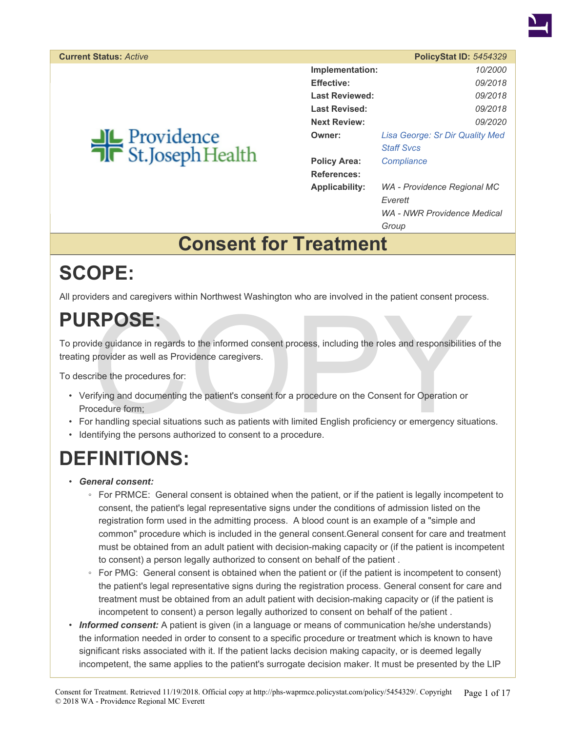

|                       | <b>PolicyStat ID: 5454329</b>   |
|-----------------------|---------------------------------|
| Implementation:       | 10/2000                         |
| <b>Effective:</b>     | 09/2018                         |
| Last Reviewed:        | 09/2018                         |
| Last Revised:         | 09/2018                         |
| <b>Next Review:</b>   | <i>09/2020</i>                  |
| Owner:                | Lisa George: Sr Dir Quality Med |
|                       | <b>Staff Sycs</b>               |
| <b>Policy Area:</b>   | Compliance                      |
| References:           |                                 |
| <b>Applicability:</b> | WA - Providence Regional MC     |
|                       | Everett                         |
|                       | WA - NWR Providence Medical     |
|                       | Group                           |

### **Consent for Treatment**

### **SCOPE:**

All providers and caregivers within Northwest Washington who are involved in the patient consent process.

## **PURPOSE:**

To provide guidance in regards to the informed consent process, including the roles and responsibilities of the treating provider as well as Providence caregivers.

To describe the procedures for:

- **RPOSE:**<br>
ide guidance in regards to the informed consent process, including the roles and responsibilities<br>
provider as well as Providence caregivers.<br>
ribe the procedures for:<br>
ifying and documenting the patient's consen • Verifying and documenting the patient's consent for a procedure on the Consent for Operation or Procedure form;
- For handling special situations such as patients with limited English proficiency or emergency situations.
- Identifying the persons authorized to consent to a procedure.

## **DEFINITIONS:**

- *General consent:*
	- For PRMCE: General consent is obtained when the patient, or if the patient is legally incompetent to consent, the patient's legal representative signs under the conditions of admission listed on the registration form used in the admitting process. A blood count is an example of a "simple and common" procedure which is included in the general consent.General consent for care and treatment must be obtained from an adult patient with decision-making capacity or (if the patient is incompetent to consent) a person legally authorized to consent on behalf of the patient .
	- For PMG: General consent is obtained when the patient or (if the patient is incompetent to consent) the patient's legal representative signs during the registration process. General consent for care and treatment must be obtained from an adult patient with decision-making capacity or (if the patient is incompetent to consent) a person legally authorized to consent on behalf of the patient .
- **Informed consent:** A patient is given (in a language or means of communication he/she understands) the information needed in order to consent to a specific procedure or treatment which is known to have significant risks associated with it. If the patient lacks decision making capacity, or is deemed legally incompetent, the same applies to the patient's surrogate decision maker. It must be presented by the LIP

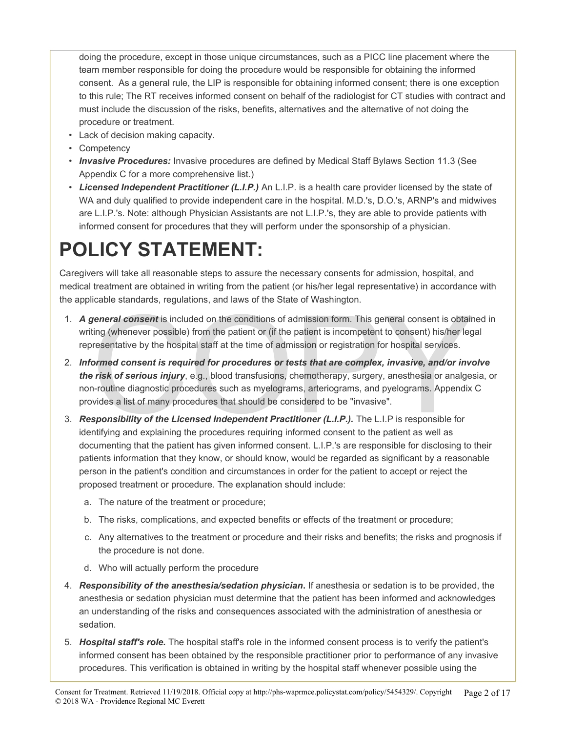doing the procedure, except in those unique circumstances, such as a PICC line placement where the team member responsible for doing the procedure would be responsible for obtaining the informed consent. As a general rule, the LIP is responsible for obtaining informed consent; there is one exception to this rule; The RT receives informed consent on behalf of the radiologist for CT studies with contract and must include the discussion of the risks, benefits, alternatives and the alternative of not doing the procedure or treatment.

- Lack of decision making capacity.
- Competency
- *Invasive Procedures:* Invasive procedures are defined by Medical Staff Bylaws Section 11.3 (See Appendix C for a more comprehensive list.)
- *Licensed Independent Practitioner (L.I.P.)* An L.I.P. is a health care provider licensed by the state of WA and duly qualified to provide independent care in the hospital. M.D.'s, D.O.'s, ARNP's and midwives are L.I.P.'s. Note: although Physician Assistants are not L.I.P.'s, they are able to provide patients with informed consent for procedures that they will perform under the sponsorship of a physician.

# **POLICY STATEMENT:**

Caregivers will take all reasonable steps to assure the necessary consents for admission, hospital, and medical treatment are obtained in writing from the patient (or his/her legal representative) in accordance with the applicable standards, regulations, and laws of the State of Washington.

- 1. *A general consent* is included on the conditions of admission form. This general consent is obtained in writing (whenever possible) from the patient or (if the patient is incompetent to consent) his/her legal representative by the hospital staff at the time of admission or registration for hospital services.
- general consent is included on the conditions of admission form. This general consent is obtainting (whenever possible) from the patient or (if the patient is incompetent to consent) his/her legeresentative by the hospital 2. *Informed consent is required for procedures or tests that are complex, invasive, and/or involve the risk of serious injury*, e.g., blood transfusions, chemotherapy, surgery, anesthesia or analgesia, or non-routine diagnostic procedures such as myelograms, arteriograms, and pyelograms. Appendix C provides a list of many procedures that should be considered to be "invasive".
- 3. *Responsibility of the Licensed Independent Practitioner (L.I.P.).* The L.I.P is responsible for identifying and explaining the procedures requiring informed consent to the patient as well as documenting that the patient has given informed consent. L.I.P.'s are responsible for disclosing to their patients information that they know, or should know, would be regarded as significant by a reasonable person in the patient's condition and circumstances in order for the patient to accept or reject the proposed treatment or procedure. The explanation should include:
	- a. The nature of the treatment or procedure;
	- b. The risks, complications, and expected benefits or effects of the treatment or procedure;
	- c. Any alternatives to the treatment or procedure and their risks and benefits; the risks and prognosis if the procedure is not done.
	- d. Who will actually perform the procedure
- 4. *Responsibility of the anesthesia/sedation physician***.** If anesthesia or sedation is to be provided, the anesthesia or sedation physician must determine that the patient has been informed and acknowledges an understanding of the risks and consequences associated with the administration of anesthesia or sedation.
- 5. *Hospital staff's role.* The hospital staff's role in the informed consent process is to verify the patient's informed consent has been obtained by the responsible practitioner prior to performance of any invasive procedures. This verification is obtained in writing by the hospital staff whenever possible using the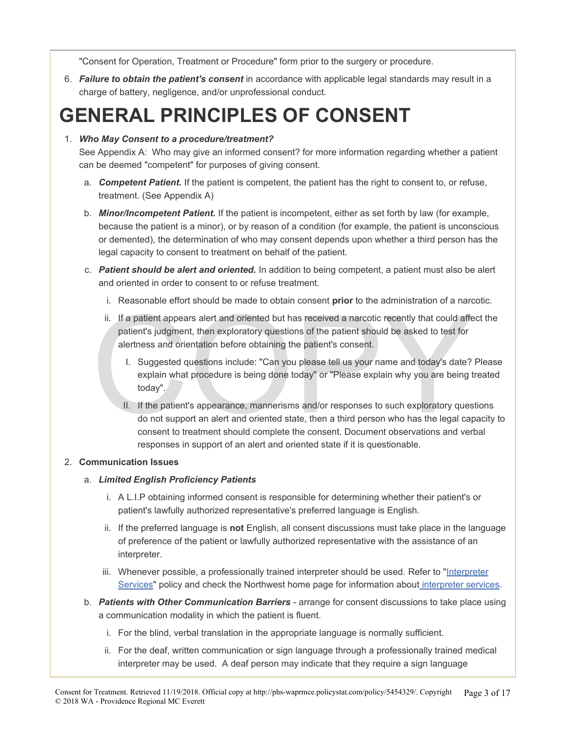"Consent for Operation, Treatment or Procedure" form prior to the surgery or procedure.

6. *Failure to obtain the patient's consent* in accordance with applicable legal standards may result in a charge of battery, negligence, and/or unprofessional conduct.

### **GENERAL PRINCIPLES OF CONSENT**

#### 1. *Who May Consent to a procedure/treatment?*

See Appendix A: Who may give an informed consent? for more information regarding whether a patient can be deemed "competent" for purposes of giving consent.

- a. *Competent Patient.* If the patient is competent, the patient has the right to consent to, or refuse, treatment. (See Appendix A)
- b. *Minor/Incompetent Patient.* If the patient is incompetent, either as set forth by law (for example, because the patient is a minor), or by reason of a condition (for example, the patient is unconscious or demented), the determination of who may consent depends upon whether a third person has the legal capacity to consent to treatment on behalf of the patient.
- c. *Patient should be alert and oriented.* In addition to being competent, a patient must also be alert and oriented in order to consent to or refuse treatment.
	- i. Reasonable effort should be made to obtain consent **prior** to the administration of a narcotic.
	- I. If a patient appears alert and oriented but has received a narcotic recently that could affer patient's judgment, then exploratory questions of the patient should be asked to test for alertness and orientation before ob ii. If a patient appears alert and oriented but has received a narcotic recently that could affect the patient's judgment, then exploratory questions of the patient should be asked to test for alertness and orientation before obtaining the patient's consent.
		- I. Suggested questions include: "Can you please tell us your name and today's date? Please explain what procedure is being done today" or "Please explain why you are being treated today".
		- II. If the patient's appearance, mannerisms and/or responses to such exploratory questions do not support an alert and oriented state, then a third person who has the legal capacity to consent to treatment should complete the consent. Document observations and verbal responses in support of an alert and oriented state if it is questionable.

#### 2. **Communication Issues**

#### a. *Limited English Proficiency Patients*

- i. A L.I.P obtaining informed consent is responsible for determining whether their patient's or patient's lawfully authorized representative's preferred language is English.
- ii. If the preferred language is **not** English, all consent discussions must take place in the language of preference of the patient or lawfully authorized representative with the assistance of an interpreter.
- iii. Whenever possible, a professionally trained interpreter should be used. Refer to ["Interpreter](https://phs-waprmce.policystat.com/policy/1973242/latest/?z=eyJpIjowLCJtIjoidHlwZWFoZWFkIiwidCI6MTQ5ODY5ODc2NTY4OCwidyI6WyJpbnRlcnByZXQiXX0) [Services"](https://phs-waprmce.policystat.com/policy/1973242/latest/?z=eyJpIjowLCJtIjoidHlwZWFoZWFkIiwidCI6MTQ5ODY5ODc2NTY4OCwidyI6WyJpbnRlcnByZXQiXX0) policy and check the Northwest home page for information about [interpreter services.](http://in.providence.org/nwr/resources/Interpreters_Aids/Pages/default.aspx)
- b. *Patients with Other Communication Barriers* arrange for consent discussions to take place using a communication modality in which the patient is fluent.
	- i. For the blind, verbal translation in the appropriate language is normally sufficient.
	- ii. For the deaf, written communication or sign language through a professionally trained medical interpreter may be used. A deaf person may indicate that they require a sign language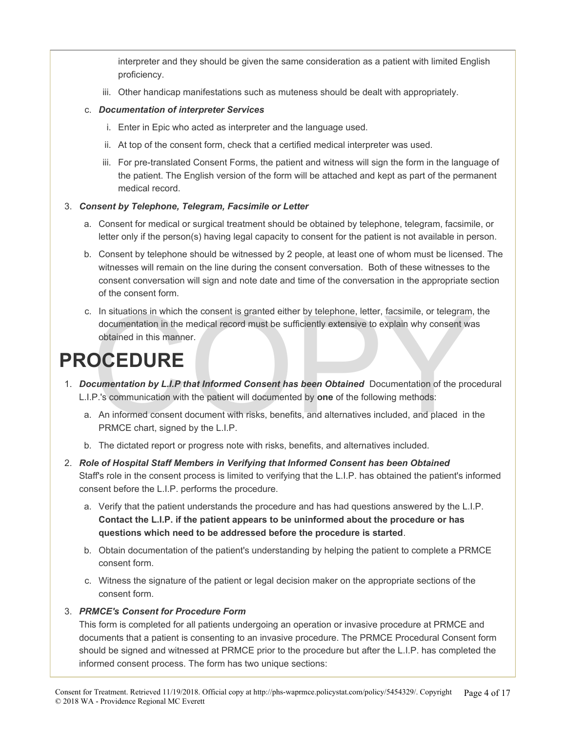interpreter and they should be given the same consideration as a patient with limited English proficiency.

iii. Other handicap manifestations such as muteness should be dealt with appropriately.

#### c. *Documentation of interpreter Services*

- i. Enter in Epic who acted as interpreter and the language used.
- ii. At top of the consent form, check that a certified medical interpreter was used.
- iii. For pre-translated Consent Forms, the patient and witness will sign the form in the language of the patient. The English version of the form will be attached and kept as part of the permanent medical record.

#### 3. *Consent by Telephone, Telegram, Facsimile or Letter*

- a. Consent for medical or surgical treatment should be obtained by telephone, telegram, facsimile, or letter only if the person(s) having legal capacity to consent for the patient is not available in person.
- b. Consent by telephone should be witnessed by 2 people, at least one of whom must be licensed. The witnesses will remain on the line during the consent conversation. Both of these witnesses to the consent conversation will sign and note date and time of the conversation in the appropriate section of the consent form.
- In situations in which the consent is granted either by telephone, letter, facsimile, or telegram,<br>documentation in the medical record must be sufficiently extensive to explain why consent wa<br>obtained in this manner.<br> $\bigcirc$ c. In situations in which the consent is granted either by telephone, letter, facsimile, or telegram, the documentation in the medical record must be sufficiently extensive to explain why consent was obtained in this manner.

### **PROCEDURE**

- 1. *Documentation by L.I.P that Informed Consent has been Obtained* Documentation of the procedural L.I.P.'s communication with the patient will documented by **one** of the following methods:
	- a. An informed consent document with risks, benefits, and alternatives included, and placed in the PRMCE chart, signed by the L.I.P.
	- b. The dictated report or progress note with risks, benefits, and alternatives included.
- 2. *Role of Hospital Staff Members in Verifying that Informed Consent has been Obtained* Staff's role in the consent process is limited to verifying that the L.I.P. has obtained the patient's informed consent before the L.I.P. performs the procedure.
	- a. Verify that the patient understands the procedure and has had questions answered by the L.I.P. **Contact the L.I.P. if the patient appears to be uninformed about the procedure or has questions which need to be addressed before the procedure is started**.
	- b. Obtain documentation of the patient's understanding by helping the patient to complete a PRMCE consent form.
	- c. Witness the signature of the patient or legal decision maker on the appropriate sections of the consent form.

#### 3. *PRMCE's Consent for Procedure Form*

This form is completed for all patients undergoing an operation or invasive procedure at PRMCE and documents that a patient is consenting to an invasive procedure. The PRMCE Procedural Consent form should be signed and witnessed at PRMCE prior to the procedure but after the L.I.P. has completed the informed consent process. The form has two unique sections: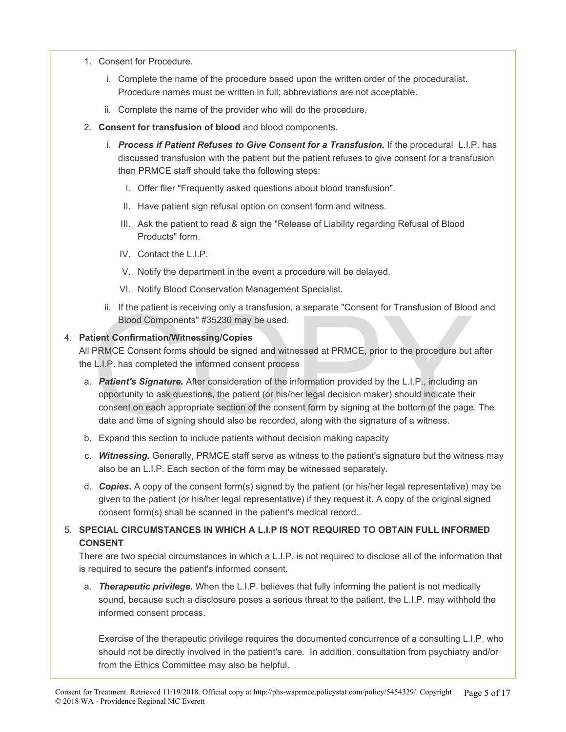- 1. Consent for Procedure.
	- i. Complete the name of the procedure based upon the written order of the proceduralist. Procedure names must be written in full; abbreviations are not acceptable.
	- ii. Complete the name of the provider who will do the procedure.
- 2. **Consent for transfusion of blood** and blood components.
	- i. *Process if Patient Refuses to Give Consent for a Transfusion.* If the procedural L.I.P. has discussed transfusion with the patient but the patient refuses to give consent for a transfusion then PRMCE staff should take the following steps:
		- I. Offer flier "Frequently asked questions about blood transfusion".
		- II. Have patient sign refusal option on consent form and witness.
		- III. Ask the patient to read & sign the "Release of Liability regarding Refusal of Blood Products" form.
		- IV. Contact the L.I.P.
		- V. Notify the department in the event a procedure will be delayed.
		- VI. Notify Blood Conservation Management Specialist.
	- ii. If the patient is receiving only a transfusion, a separate "Consent for Transfusion of Blood and Blood Components" #35230 may be used.

#### 4. **Patient Confirmation/Witnessing/Copies**

All PRMCE Consent forms should be signed and witnessed at PRMCE, prior to the procedure but after the L.I.P. has completed the informed consent process

- ii. If the patient is receiving only a transfusion, a separate "Consent for Transfusion of Blood<br>Blood Components" #35230 may be used.<br>
tient Confirmation/Witnessing/Copies<br>
PRMCE Consent forms should be signed and witness a. *Patient's Signature.* After consideration of the information provided by the L.I.P., including an opportunity to ask questions, the patient (or his/her legal decision maker) should indicate their consent on each appropriate section of the consent form by signing at the bottom of the page. The date and time of signing should also be recorded, along with the signature of a witness.
- b. Expand this section to include patients without decision making capacity
- c. *Witnessing.* Generally, PRMCE staff serve as witness to the patient's signature but the witness may also be an L.I.P. Each section of the form may be witnessed separately.
- d. *Copies.* A copy of the consent form(s) signed by the patient (or his/her legal representative) may be given to the patient (or his/her legal representative) if they request it. A copy of the original signed consent form(s) shall be scanned in the patient's medical record.*.*
- 5. **SPECIAL CIRCUMSTANCES IN WHICH A L.I.P IS NOT REQUIRED TO OBTAIN FULL INFORMED CONSENT**

There are two special circumstances in which a L.I.P. is not required to disclose all of the information that is required to secure the patient's informed consent.

a. *Therapeutic privilege.* When the L.I.P. believes that fully informing the patient is not medically sound, because such a disclosure poses a serious threat to the patient, the L.I.P. may withhold the informed consent process.

Exercise of the therapeutic privilege requires the documented concurrence of a consulting L.I.P. who should not be directly involved in the patient's care. In addition, consultation from psychiatry and/or from the Ethics Committee may also be helpful.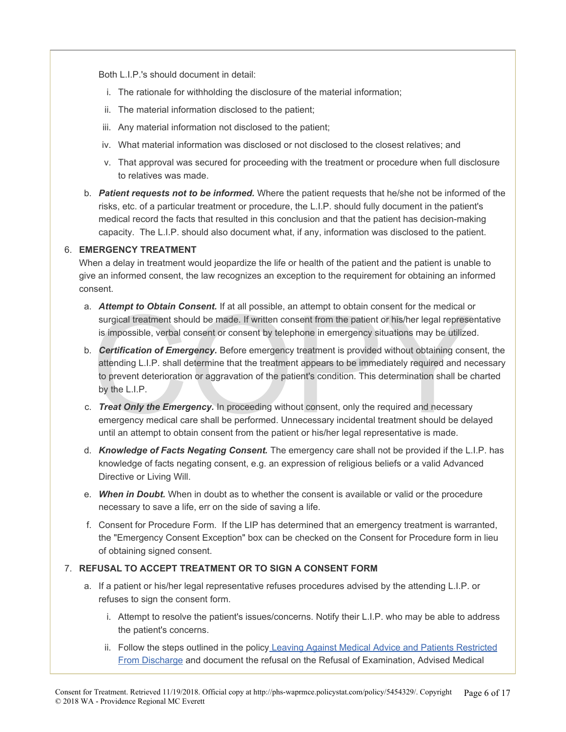Both L.I.P.'s should document in detail:

- i. The rationale for withholding the disclosure of the material information;
- ii. The material information disclosed to the patient;
- iii. Any material information not disclosed to the patient;
- iv. What material information was disclosed or not disclosed to the closest relatives; and
- v. That approval was secured for proceeding with the treatment or procedure when full disclosure to relatives was made.
- b. *Patient requests not to be informed.* Where the patient requests that he/she not be informed of the risks, etc. of a particular treatment or procedure, the L.I.P. should fully document in the patient's medical record the facts that resulted in this conclusion and that the patient has decision-making capacity. The L.I.P. should also document what, if any, information was disclosed to the patient.

#### 6. **EMERGENCY TREATMENT**

When a delay in treatment would jeopardize the life or health of the patient and the patient is unable to give an informed consent, the law recognizes an exception to the requirement for obtaining an informed consent.

- a. *Attempt to Obtain Consent.* If at all possible, an attempt to obtain consent for the medical or surgical treatment should be made. If written consent from the patient or his/her legal representative is impossible, verbal consent or consent by telephone in emergency situations may be utilized.
- Attempt to Obtain Consent. If at all possible, an attempt to obtain consent for the medical or surgical treatment should be made. If written consent from the patient or his/her legal represe is impossible, verbal consent o b. *Certification of Emergency.* Before emergency treatment is provided without obtaining consent, the attending L.I.P. shall determine that the treatment appears to be immediately required and necessary to prevent deterioration or aggravation of the patient's condition. This determination shall be charted by the L.I.P.
- c. *Treat Only the Emergency.* In proceeding without consent, only the required and necessary emergency medical care shall be performed. Unnecessary incidental treatment should be delayed until an attempt to obtain consent from the patient or his/her legal representative is made.
- d. *Knowledge of Facts Negating Consent.* The emergency care shall not be provided if the L.I.P. has knowledge of facts negating consent, e.g. an expression of religious beliefs or a valid Advanced Directive or Living Will.
- e. *When in Doubt.* When in doubt as to whether the consent is available or valid or the procedure necessary to save a life, err on the side of saving a life.
- f. Consent for Procedure Form. If the LIP has determined that an emergency treatment is warranted, the "Emergency Consent Exception" box can be checked on the Consent for Procedure form in lieu of obtaining signed consent.

#### 7. **REFUSAL TO ACCEPT TREATMENT OR TO SIGN A CONSENT FORM**

- a. If a patient or his/her legal representative refuses procedures advised by the attending L.I.P. or refuses to sign the consent form.
	- i. Attempt to resolve the patient's issues/concerns. Notify their L.I.P. who may be able to address the patient's concerns.
	- ii. Follow the steps outlined in the policy [Leaving Against Medical Advice and Patients Restricted](https://phs-waprmce.policystat.com/policy/1914623/latest/?z=eyJpIjogMH0) [From Discharge](https://phs-waprmce.policystat.com/policy/1914623/latest/?z=eyJpIjogMH0) and document the refusal on the Refusal of Examination, Advised Medical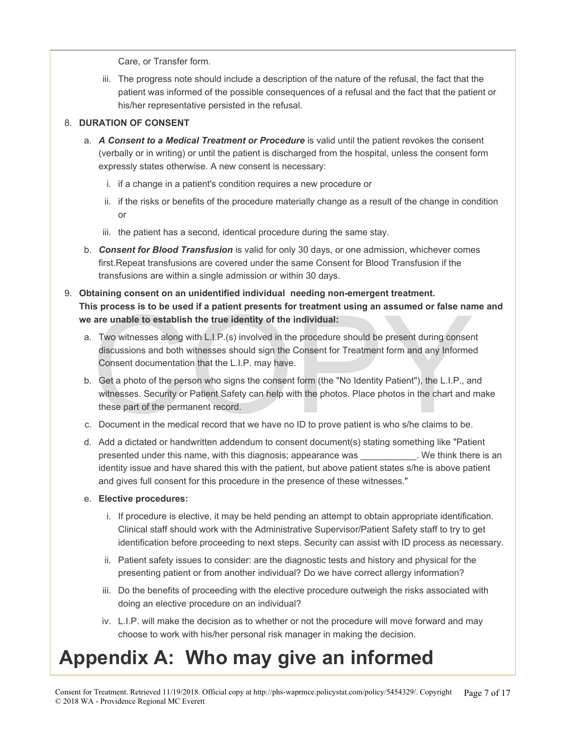Care, or Transfer form.

iii. The progress note should include a description of the nature of the refusal, the fact that the patient was informed of the possible consequences of a refusal and the fact that the patient or his/her representative persisted in the refusal.

#### 8. **DURATION OF CONSENT**

- a. *A Consent to a Medical Treatment or Procedure* is valid until the patient revokes the consent (verbally or in writing) or until the patient is discharged from the hospital, unless the consent form expressly states otherwise. A new consent is necessary:
	- i. if a change in a patient's condition requires a new procedure or
	- ii. if the risks or benefits of the procedure materially change as a result of the change in condition or
	- iii. the patient has a second, identical procedure during the same stay.
- b. *Consent for Blood Transfusion* is valid for only 30 days, or one admission, whichever comes first.Repeat transfusions are covered under the same Consent for Blood Transfusion if the transfusions are within a single admission or within 30 days.

#### 9. **Obtaining consent on an unidentified individual needing non-emergent treatment. This process is to be used if a patient presents for treatment using an assumed or false name and we are unable to establish the true identity of the individual:**

- is process is to be used if a patient presents for treatment using an assumed or false nar<br>are unable to establish the true identity of the individual:<br>Two witnesses along with L.I.P.(s) involved in the procedure should b a. Two witnesses along with L.I.P.(s) involved in the procedure should be present during consent discussions and both witnesses should sign the Consent for Treatment form and any Informed Consent documentation that the L.I.P. may have.
- b. Get a photo of the person who signs the consent form (the "No Identity Patient"), the L.I.P., and witnesses. Security or Patient Safety can help with the photos. Place photos in the chart and make these part of the permanent record.
- c. Document in the medical record that we have no ID to prove patient is who s/he claims to be.
- d. Add a dictated or handwritten addendum to consent document(s) stating something like "Patient presented under this name, with this diagnosis; appearance was \_\_\_\_\_\_\_\_\_\_\_. We think there is an identity issue and have shared this with the patient, but above patient states s/he is above patient and gives full consent for this procedure in the presence of these witnesses."

#### e. **Elective procedures:**

- i. If procedure is elective, it may be held pending an attempt to obtain appropriate identification. Clinical staff should work with the Administrative Supervisor/Patient Safety staff to try to get identification before proceeding to next steps. Security can assist with ID process as necessary.
- ii. Patient safety issues to consider: are the diagnostic tests and history and physical for the presenting patient or from another individual? Do we have correct allergy information?
- iii. Do the benefits of proceeding with the elective procedure outweigh the risks associated with doing an elective procedure on an individual?
- iv. L.I.P. will make the decision as to whether or not the procedure will move forward and may choose to work with his/her personal risk manager in making the decision.

## **Appendix A: Who may give an informed**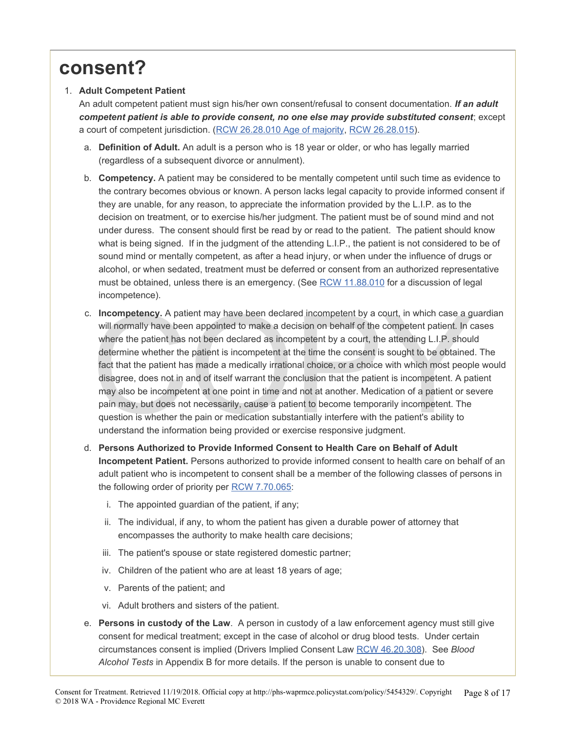### **consent?**

#### 1. **Adult Competent Patient**

An adult competent patient must sign his/her own consent/refusal to consent documentation. *If an adult competent patient is able to provide consent, no one else may provide substituted consent*; except a court of competent jurisdiction. ([RCW 26.28.010 Age of majority](http://apps.leg.wa.gov/RCW/default.aspx?cite=26.28.010), [RCW](http://apps.leg.wa.gov/RCW/default.aspx?cite=26.28.015) [26.28.015](http://apps.leg.wa.gov/RCW/default.aspx?cite=26.28.015)).

- a. **Definition of Adult.** An adult is a person who is 18 year or older, or who has legally married (regardless of a subsequent divorce or annulment).
- b. **Competency.** A patient may be considered to be mentally competent until such time as evidence to the contrary becomes obvious or known. A person lacks legal capacity to provide informed consent if they are unable, for any reason, to appreciate the information provided by the L.I.P. as to the decision on treatment, or to exercise his/her judgment. The patient must be of sound mind and not under duress. The consent should first be read by or read to the patient. The patient should know what is being signed. If in the judgment of the attending L.I.P., the patient is not considered to be of sound mind or mentally competent, as after a head injury, or when under the influence of drugs or alcohol, or when sedated, treatment must be deferred or consent from an authorized representative must be obtained, unless there is an emergency. (See [RCW](http://apps.leg.wa.gov/RCW/default.aspx?cite=11.88.010) [11.88.010](http://apps.leg.wa.gov/RCW/default.aspx?cite=11.88.010) for a discussion of legal incompetence).
- Incompetency. A patient may have been declared incompetent by a court, in which case a g will normally have been appointed to make a decision on behalf of the competent patient. In c where the patient has not been declared c. **Incompetency.** A patient may have been declared incompetent by a court, in which case a guardian will normally have been appointed to make a decision on behalf of the competent patient. In cases where the patient has not been declared as incompetent by a court, the attending L.I.P. should determine whether the patient is incompetent at the time the consent is sought to be obtained. The fact that the patient has made a medically irrational choice, or a choice with which most people would disagree, does not in and of itself warrant the conclusion that the patient is incompetent. A patient may also be incompetent at one point in time and not at another. Medication of a patient or severe pain may, but does not necessarily, cause a patient to become temporarily incompetent. The question is whether the pain or medication substantially interfere with the patient's ability to understand the information being provided or exercise responsive judgment.
- d. **Persons Authorized to Provide Informed Consent to Health Care on Behalf of Adult Incompetent Patient.** Persons authorized to provide informed consent to health care on behalf of an adult patient who is incompetent to consent shall be a member of the following classes of persons in the following order of priority per [RCW](http://apps.leg.wa.gov/RCW/default.aspx?cite=7.70.065) [7.70.065](http://apps.leg.wa.gov/RCW/default.aspx?cite=7.70.065):
	- i. The appointed guardian of the patient, if any;
	- ii. The individual, if any, to whom the patient has given a durable power of attorney that encompasses the authority to make health care decisions;
	- iii. The patient's spouse or state registered domestic partner;
	- iv. Children of the patient who are at least 18 years of age;
	- v. Parents of the patient; and
	- vi. Adult brothers and sisters of the patient.
- e. **Persons in custody of the Law**. A person in custody of a law enforcement agency must still give consent for medical treatment; except in the case of alcohol or drug blood tests. Under certain circumstances consent is implied (Drivers Implied Consent Law [RCW](http://apps.leg.wa.gov/RCW/default.aspx?cite=46.20.308) [46.20.308](http://apps.leg.wa.gov/RCW/default.aspx?cite=46.20.308)). See *Blood Alcohol Tests* in Appendix B for more details. If the person is unable to consent due to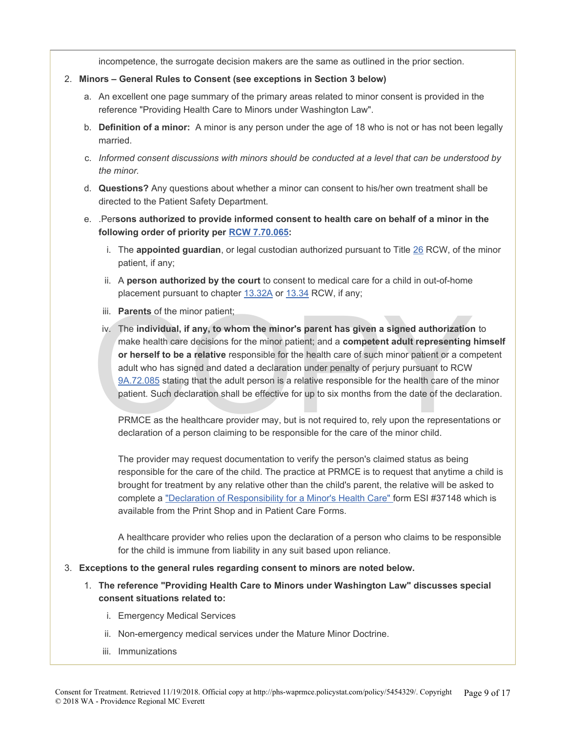incompetence, the surrogate decision makers are the same as outlined in the prior section.

- 2. **Minors General Rules to Consent (see exceptions in Section 3 below)**
	- a. An excellent one page summary of the primary areas related to minor consent is provided in the reference "Providing Health Care to Minors under Washington Law".
	- b. **Definition of a minor:** A minor is any person under the age of 18 who is not or has not been legally married.
	- c. *Informed consent discussions with minors should be conducted at a level that can be understood by the minor.*
	- d. **Questions?** Any questions about whether a minor can consent to his/her own treatment shall be directed to the Patient Safety Department.
	- e. .Per**sons authorized to provide informed consent to health care on behalf of a minor in the following order of priority per [RCW](http://apps.leg.wa.gov/RCW/default.aspx?cite=7.70.065) [7.70.065](http://apps.leg.wa.gov/RCW/default.aspx?cite=7.70.065):**
		- i. The **appointed guardian**, or legal custodian authorized pursuant to Title [26](http://apps.leg.wa.gov/RCW/default.aspx?cite=26) RCW, of the minor patient, if any;
		- ii. A **person authorized by the court** to consent to medical care for a child in out-of-home placement pursuant to chapter [13.32A](http://apps.leg.wa.gov/RCW/default.aspx?cite=13.32A) or [13.34](http://apps.leg.wa.gov/RCW/default.aspx?cite=13.34) RCW, if any;
		- iii. **Parents** of the minor patient;
		- iii. **Parents** of the minor patient;<br>iv. The individual, if any, to whom the minor's parent has given a signed authorization<br>make health care decisions for the minor patient; and a competent adult representing<br>or herself iv. The **individual, if any, to whom the minor's parent has given a signed authorization** to make health care decisions for the minor patient; and a **competent adult representing himself or herself to be a relative** responsible for the health care of such minor patient or a competent adult who has signed and dated a declaration under penalty of perjury pursuant to RCW 9A.72.085 stating that the adult person is a relative responsible for the health care of the minor patient. Such declaration shall be effective for up to six months from the date of the declaration.

PRMCE as the healthcare provider may, but is not required to, rely upon the representations or declaration of a person claiming to be responsible for the care of the minor child.

The provider may request documentation to verify the person's claimed status as being responsible for the care of the child. The practice at PRMCE is to request that anytime a child is brought for treatment by any relative other than the child's parent, the relative will be asked to complete a ["Declaration of Responsibility for a Minor's Health Care"](https://wamtteams.providence.org/teamdept/PRMCEPODForms/Print%20on%20Demand%20Forms/37148%20Declaration%20of%20Responsibility%20for%20a%20Minors%20Health%20Care.pdf) form ESI #37148 which is available from the Print Shop and in Patient Care Forms.

A healthcare provider who relies upon the declaration of a person who claims to be responsible for the child is immune from liability in any suit based upon reliance.

- 3. **Exceptions to the general rules regarding consent to minors are noted below.**
	- 1. **The reference "Providing Health Care to Minors under Washington Law" discusses special consent situations related to:**
		- i. Emergency Medical Services
		- ii. Non-emergency medical services under the Mature Minor Doctrine.
		- iii. Immunizations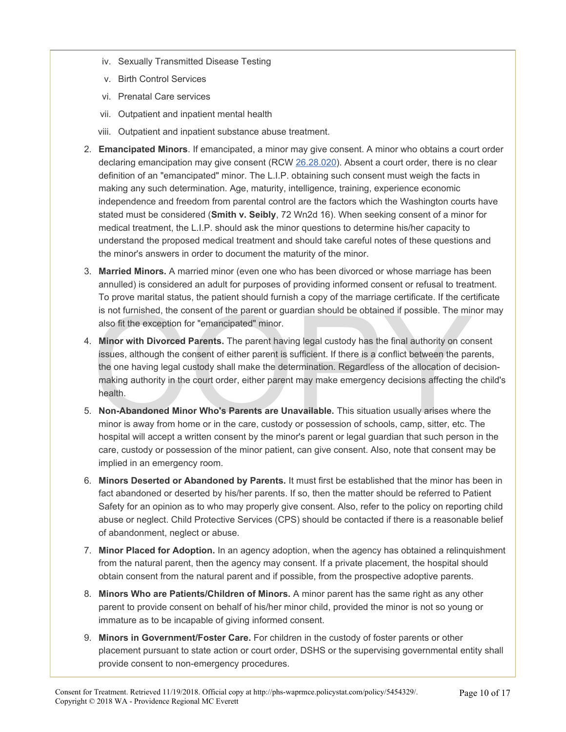- iv. Sexually Transmitted Disease Testing
- v. Birth Control Services
- vi. Prenatal Care services
- vii. Outpatient and inpatient mental health
- viii. Outpatient and inpatient substance abuse treatment.
- 2. **Emancipated Minors**. If emancipated, a minor may give consent. A minor who obtains a court order declaring emancipation may give consent (RCW [26.28.020](http://apps.leg.wa.gov/RCW/default.aspx?cite=26.28.020)). Absent a court order, there is no clear definition of an "emancipated" minor. The L.I.P. obtaining such consent must weigh the facts in making any such determination. Age, maturity, intelligence, training, experience economic independence and freedom from parental control are the factors which the Washington courts have stated must be considered (**Smith v. Seibly**, 72 Wn2d 16). When seeking consent of a minor for medical treatment, the L.I.P. should ask the minor questions to determine his/her capacity to understand the proposed medical treatment and should take careful notes of these questions and the minor's answers in order to document the maturity of the minor.
- 3. **Married Minors.** A married minor (even one who has been divorced or whose marriage has been annulled) is considered an adult for purposes of providing informed consent or refusal to treatment. To prove marital status, the patient should furnish a copy of the marriage certificate. If the certificate is not furnished, the consent of the parent or guardian should be obtained if possible. The minor may also fit the exception for "emancipated" minor.
- is not furnished, the consent of the parent or guardian should be obtained if possible. The mir-<br>also fit the exception for "emancipated" minor.<br>Minor with Divorced Parents. The parent having legal custody has the final au 4. **Minor with Divorced Parents.** The parent having legal custody has the final authority on consent issues, although the consent of either parent is sufficient. If there is a conflict between the parents, the one having legal custody shall make the determination. Regardless of the allocation of decisionmaking authority in the court order, either parent may make emergency decisions affecting the child's health.
- 5. **Non-Abandoned Minor Who's Parents are Unavailable.** This situation usually arises where the minor is away from home or in the care, custody or possession of schools, camp, sitter, etc. The hospital will accept a written consent by the minor's parent or legal guardian that such person in the care, custody or possession of the minor patient, can give consent. Also, note that consent may be implied in an emergency room.
- 6. **Minors Deserted or Abandoned by Parents.** It must first be established that the minor has been in fact abandoned or deserted by his/her parents. If so, then the matter should be referred to Patient Safety for an opinion as to who may properly give consent. Also, refer to the policy on reporting child abuse or neglect. Child Protective Services (CPS) should be contacted if there is a reasonable belief of abandonment, neglect or abuse.
- 7. **Minor Placed for Adoption.** In an agency adoption, when the agency has obtained a relinquishment from the natural parent, then the agency may consent. If a private placement, the hospital should obtain consent from the natural parent and if possible, from the prospective adoptive parents.
- 8. **Minors Who are Patients/Children of Minors.** A minor parent has the same right as any other parent to provide consent on behalf of his/her minor child, provided the minor is not so young or immature as to be incapable of giving informed consent.
- 9. **Minors in Government/Foster Care.** For children in the custody of foster parents or other placement pursuant to state action or court order, DSHS or the supervising governmental entity shall provide consent to non-emergency procedures.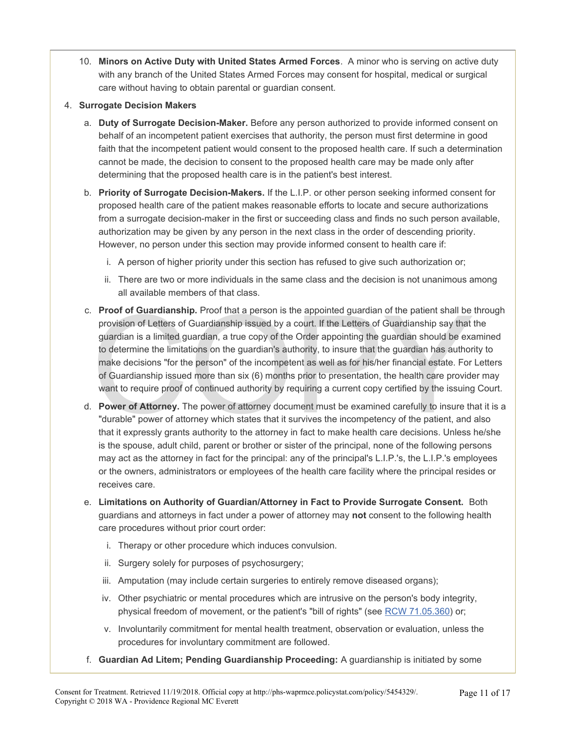10. **Minors on Active Duty with United States Armed Forces**. A minor who is serving on active duty with any branch of the United States Armed Forces may consent for hospital, medical or surgical care without having to obtain parental or guardian consent.

#### 4. **Surrogate Decision Makers**

- a. **Duty of Surrogate Decision-Maker.** Before any person authorized to provide informed consent on behalf of an incompetent patient exercises that authority, the person must first determine in good faith that the incompetent patient would consent to the proposed health care. If such a determination cannot be made, the decision to consent to the proposed health care may be made only after determining that the proposed health care is in the patient's best interest.
- b. **Priority of Surrogate Decision-Makers.** If the L.I.P. or other person seeking informed consent for proposed health care of the patient makes reasonable efforts to locate and secure authorizations from a surrogate decision-maker in the first or succeeding class and finds no such person available, authorization may be given by any person in the next class in the order of descending priority. However, no person under this section may provide informed consent to health care if:
	- i. A person of higher priority under this section has refused to give such authorization or;
	- ii. There are two or more individuals in the same class and the decision is not unanimous among all available members of that class.
- **Proof of Guardianship.** Proof that a person is the appointed guardian of the patient shall be provision of Letters of Guardianship issued by a court. If the Letters of Guardianship say that guardian is a limited guardian, c. **Proof of Guardianship.** Proof that a person is the appointed guardian of the patient shall be through provision of Letters of Guardianship issued by a court. If the Letters of Guardianship say that the guardian is a limited guardian, a true copy of the Order appointing the guardian should be examined to determine the limitations on the guardian's authority, to insure that the guardian has authority to make decisions "for the person" of the incompetent as well as for his/her financial estate. For Letters of Guardianship issued more than six (6) months prior to presentation, the health care provider may want to require proof of continued authority by requiring a current copy certified by the issuing Court.
- d. **Power of Attorney.** The power of attorney document must be examined carefully to insure that it is a "durable" power of attorney which states that it survives the incompetency of the patient, and also that it expressly grants authority to the attorney in fact to make health care decisions. Unless he/she is the spouse, adult child, parent or brother or sister of the principal, none of the following persons may act as the attorney in fact for the principal: any of the principal's L.I.P.'s, the L.I.P.'s employees or the owners, administrators or employees of the health care facility where the principal resides or receives care.
- e. **Limitations on Authority of Guardian/Attorney in Fact to Provide Surrogate Consent.** Both guardians and attorneys in fact under a power of attorney may **not** consent to the following health care procedures without prior court order:
	- i. Therapy or other procedure which induces convulsion.
	- ii. Surgery solely for purposes of psychosurgery;
	- iii. Amputation (may include certain surgeries to entirely remove diseased organs);
	- iv. Other psychiatric or mental procedures which are intrusive on the person's body integrity, physical freedom of movement, or the patient's "bill of rights" (see [RCW](http://apps.leg.wa.gov/RCW/default.aspx?cite=71.05.360) [71.05.360\)](http://apps.leg.wa.gov/RCW/default.aspx?cite=71.05.360) or;
	- v. Involuntarily commitment for mental health treatment, observation or evaluation, unless the procedures for involuntary commitment are followed.
- f. **Guardian Ad Litem; Pending Guardianship Proceeding:** A guardianship is initiated by some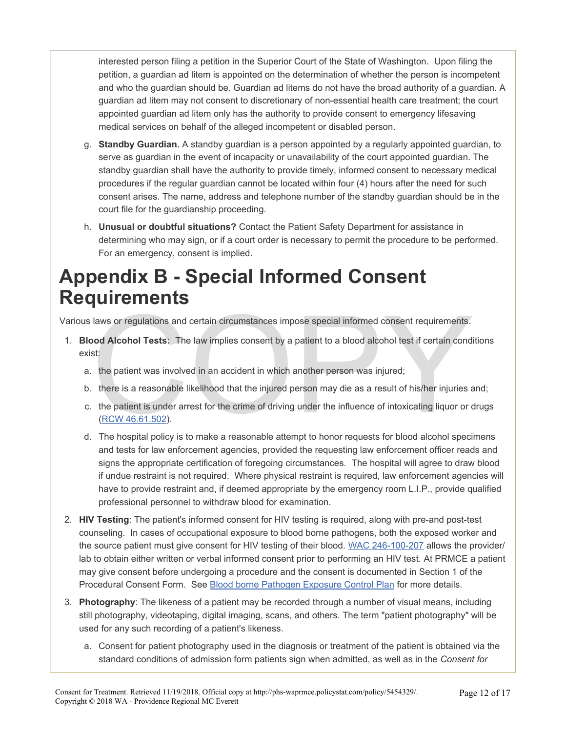interested person filing a petition in the Superior Court of the State of Washington. Upon filing the petition, a guardian ad litem is appointed on the determination of whether the person is incompetent and who the guardian should be. Guardian ad litems do not have the broad authority of a guardian. A guardian ad litem may not consent to discretionary of non-essential health care treatment; the court appointed guardian ad litem only has the authority to provide consent to emergency lifesaving medical services on behalf of the alleged incompetent or disabled person.

- g. **Standby Guardian.** A standby guardian is a person appointed by a regularly appointed guardian, to serve as guardian in the event of incapacity or unavailability of the court appointed guardian. The standby guardian shall have the authority to provide timely, informed consent to necessary medical procedures if the regular guardian cannot be located within four (4) hours after the need for such consent arises. The name, address and telephone number of the standby guardian should be in the court file for the guardianship proceeding.
- h. **Unusual or doubtful situations?** Contact the Patient Safety Department for assistance in determining who may sign, or if a court order is necessary to permit the procedure to be performed. For an emergency, consent is implied.

### **Appendix B - Special Informed Consent Requirements**

Various laws or regulations and certain circumstances impose special informed consent requirements.

- The University of the law implies consent by a patient to a blood alcohol test if certain conditst:<br>
Sold Alcohol Tests: The law implies consent by a patient to a blood alcohol test if certain condits:<br>
Sold Alcohol Tests: 1. **Blood Alcohol Tests:** The law implies consent by a patient to a blood alcohol test if certain conditions exist:
	- a. the patient was involved in an accident in which another person was injured;
	- b. there is a reasonable likelihood that the injured person may die as a result of his/her injuries and;
	- c. the patient is under arrest for the crime of driving under the influence of intoxicating liquor or drugs (RCW 46.61.502).
	- d. The hospital policy is to make a reasonable attempt to honor requests for blood alcohol specimens and tests for law enforcement agencies, provided the requesting law enforcement officer reads and signs the appropriate certification of foregoing circumstances. The hospital will agree to draw blood if undue restraint is not required. Where physical restraint is required, law enforcement agencies will have to provide restraint and, if deemed appropriate by the emergency room L.I.P., provide qualified professional personnel to withdraw blood for examination.
- 2. **HIV Testing**: The patient's informed consent for HIV testing is required, along with pre-and post-test counseling. In cases of occupational exposure to blood borne pathogens, both the exposed worker and the source patient must give consent for HIV testing of their blood. [WAC 246-100-207](http://apps.leg.wa.gov/WAC/default.aspx?cite=246-100-207) allows the provider/ lab to obtain either written or verbal informed consent prior to performing an HIV test. At PRMCE a patient may give consent before undergoing a procedure and the consent is documented in Section 1 of the Procedural Consent Form. See [Blood borne Pathogen Exposure Control Plan](https://phs-waprmce.policystat.com/policy/1770726/latest/?z=eyJpIjogMH0%3D) for more details.
- 3. **Photography**: The likeness of a patient may be recorded through a number of visual means, including still photography, videotaping, digital imaging, scans, and others. The term "patient photography" will be used for any such recording of a patient's likeness.
	- a. Consent for patient photography used in the diagnosis or treatment of the patient is obtained via the standard conditions of admission form patients sign when admitted, as well as in the *Consent for*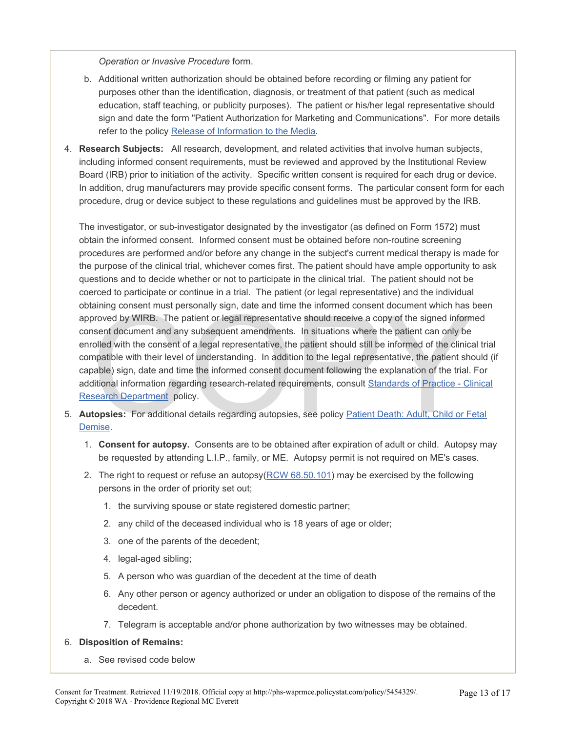*Operation or Invasive Procedure* form.

- b. Additional written authorization should be obtained before recording or filming any patient for purposes other than the identification, diagnosis, or treatment of that patient (such as medical education, staff teaching, or publicity purposes). The patient or his/her legal representative should sign and date the form "Patient Authorization for Marketing and Communications". For more details refer to the policy [Release of Information to the Media](https://phs-waprmce.policystat.com/policy/1966420/latest/?z=eyJpIjogMH0%3D)*.*
- 4. **Research Subjects:** All research, development, and related activities that involve human subjects, including informed consent requirements, must be reviewed and approved by the Institutional Review Board (IRB) prior to initiation of the activity. Specific written consent is required for each drug or device. In addition, drug manufacturers may provide specific consent forms. The particular consent form for each procedure, drug or device subject to these regulations and guidelines must be approved by the IRB.

aning consent must personally sign, date and time the informed consent document which has broved by WIRB. The patient or legal representative should receive a copy of the signed inform<br>sent document and any subsequent amen The investigator, or sub-investigator designated by the investigator (as defined on Form 1572) must obtain the informed consent. Informed consent must be obtained before non-routine screening procedures are performed and/or before any change in the subject's current medical therapy is made for the purpose of the clinical trial, whichever comes first. The patient should have ample opportunity to ask questions and to decide whether or not to participate in the clinical trial. The patient should not be coerced to participate or continue in a trial. The patient (or legal representative) and the individual obtaining consent must personally sign, date and time the informed consent document which has been approved by WIRB. The patient or legal representative should receive a copy of the signed informed consent document and any subsequent amendments. In situations where the patient can only be enrolled with the consent of a legal representative, the patient should still be informed of the clinical trial compatible with their level of understanding. In addition to the legal representative, the patient should (if capable) sign, date and time the informed consent document following the explanation of the trial. For additional information regarding research-related requirements, consult [Standards of Practice - Clinical](https://phs-waprmce.policystat.com/policy/1827226/latest/?z=eyJpIjogMX0%3D) **Research Department policy.** 

- 5. **Autopsies:** For additional details regarding autopsies, see policy Patient Death: Adult, Child or Fetal [Demise](https://phs-waprmce.policystat.com/policy/1862950/latest/?z=eyJpIjogMH0%3D).
	- 1. **Consent for autopsy.** Consents are to be obtained after expiration of adult or child. Autopsy may be requested by attending L.I.P., family, or ME. Autopsy permit is not required on ME's cases.
	- 2. The right to request or refuse an autopsy[\(RCW 68.50.101\)](http://search.leg.wa.gov/pub/textsearch/ViewRoot.asp?Action=Html&Item=2&X=1031140754&p=1) may be exercised by the following persons in the order of priority set out;
		- 1. the surviving spouse or state registered domestic partner;
		- 2. any child of the deceased individual who is 18 years of age or older;
		- 3. one of the parents of the decedent;
		- 4. legal-aged sibling;
		- 5. A person who was guardian of the decedent at the time of death
		- 6. Any other person or agency authorized or under an obligation to dispose of the remains of the decedent.
		- 7. Telegram is acceptable and/or phone authorization by two witnesses may be obtained.

#### 6. **Disposition of Remains:**

a. See revised code below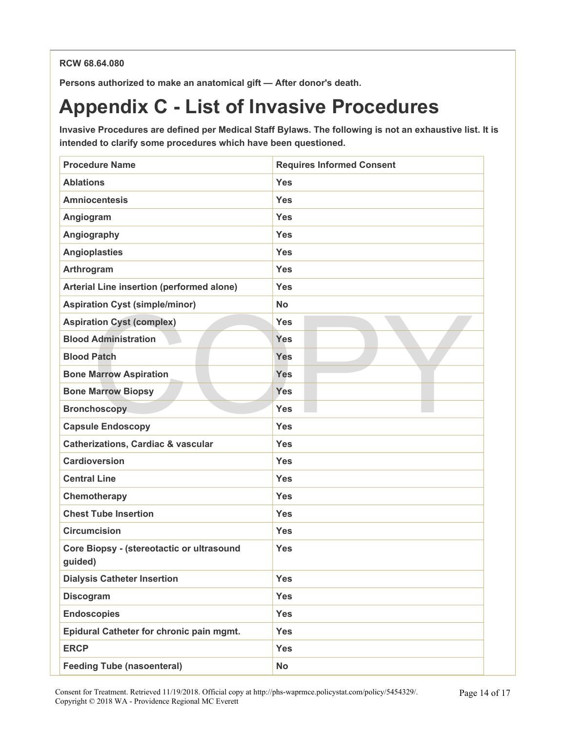#### **RCW 68.64.080**

**Persons authorized to make an anatomical gift — After donor's death.**

### **Appendix C - List of Invasive Procedures**

**Invasive Procedures are defined per Medical Staff Bylaws. The following is not an exhaustive list. It is intended to clarify some procedures which have been questioned.**

| <b>Procedure Name</b>                                | <b>Requires Informed Consent</b> |
|------------------------------------------------------|----------------------------------|
| <b>Ablations</b>                                     | <b>Yes</b>                       |
| <b>Amniocentesis</b>                                 | <b>Yes</b>                       |
| Angiogram                                            | <b>Yes</b>                       |
| Angiography                                          | <b>Yes</b>                       |
| <b>Angioplasties</b>                                 | <b>Yes</b>                       |
| Arthrogram                                           | <b>Yes</b>                       |
| Arterial Line insertion (performed alone)            | <b>Yes</b>                       |
| <b>Aspiration Cyst (simple/minor)</b>                | <b>No</b>                        |
| <b>Aspiration Cyst (complex)</b>                     | <b>Yes</b>                       |
| <b>Blood Administration</b>                          | <b>Yes</b>                       |
| <b>Blood Patch</b>                                   | <b>Yes</b>                       |
| <b>Bone Marrow Aspiration</b>                        | Yes                              |
| <b>Bone Marrow Biopsy</b>                            | Yes                              |
| <b>Bronchoscopy</b>                                  | <b>Yes</b>                       |
| <b>Capsule Endoscopy</b>                             | <b>Yes</b>                       |
| <b>Catherizations, Cardiac &amp; vascular</b>        | <b>Yes</b>                       |
| <b>Cardioversion</b>                                 | <b>Yes</b>                       |
| <b>Central Line</b>                                  | <b>Yes</b>                       |
| Chemotherapy                                         | <b>Yes</b>                       |
| <b>Chest Tube Insertion</b>                          | <b>Yes</b>                       |
| <b>Circumcision</b>                                  | <b>Yes</b>                       |
| Core Biopsy - (stereotactic or ultrasound<br>quided) | <b>Yes</b>                       |
| <b>Dialysis Catheter Insertion</b>                   | <b>Yes</b>                       |
| <b>Discogram</b>                                     | <b>Yes</b>                       |
| <b>Endoscopies</b>                                   | <b>Yes</b>                       |
| Epidural Catheter for chronic pain mgmt.             | <b>Yes</b>                       |
| <b>ERCP</b>                                          | <b>Yes</b>                       |
| <b>Feeding Tube (nasoenteral)</b>                    | <b>No</b>                        |

Consent for Treatment. Retrieved 11/19/2018. Official copy at http://phs-waprmce.policystat.com/policy/5454329/. Copyright © 2018 WA - Providence Regional MC Everett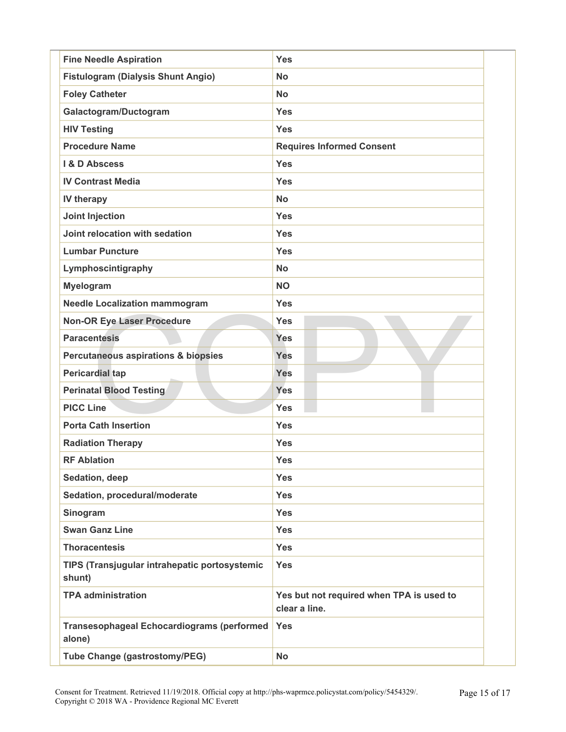| <b>Fine Needle Aspiration</b>                               | <b>Yes</b>                                                |
|-------------------------------------------------------------|-----------------------------------------------------------|
| <b>Fistulogram (Dialysis Shunt Angio)</b>                   | <b>No</b>                                                 |
| <b>Foley Catheter</b>                                       | <b>No</b>                                                 |
| Galactogram/Ductogram                                       | <b>Yes</b>                                                |
| <b>HIV Testing</b>                                          | <b>Yes</b>                                                |
| <b>Procedure Name</b>                                       | <b>Requires Informed Consent</b>                          |
| <b>I &amp; D Abscess</b>                                    | <b>Yes</b>                                                |
| <b>IV Contrast Media</b>                                    | <b>Yes</b>                                                |
| IV therapy                                                  | <b>No</b>                                                 |
| <b>Joint Injection</b>                                      | <b>Yes</b>                                                |
| Joint relocation with sedation                              | <b>Yes</b>                                                |
| <b>Lumbar Puncture</b>                                      | <b>Yes</b>                                                |
| Lymphoscintigraphy                                          | <b>No</b>                                                 |
| Myelogram                                                   | <b>NO</b>                                                 |
| <b>Needle Localization mammogram</b>                        | <b>Yes</b>                                                |
| <b>Non-OR Eye Laser Procedure</b>                           | <b>Yes</b>                                                |
| <b>Paracentesis</b>                                         | <b>Yes</b>                                                |
| <b>Percutaneous aspirations &amp; biopsies</b>              | <b>Yes</b>                                                |
| <b>Pericardial tap</b>                                      | <b>Yes</b>                                                |
| <b>Perinatal Blood Testing</b>                              | Yes                                                       |
| <b>PICC Line</b>                                            | <b>Yes</b>                                                |
| <b>Porta Cath Insertion</b>                                 | <b>Yes</b>                                                |
| <b>Radiation Therapy</b>                                    | <b>Yes</b>                                                |
| <b>RF Ablation</b>                                          | <b>Yes</b>                                                |
| Sedation, deep                                              | <b>Yes</b>                                                |
| Sedation, procedural/moderate                               | <b>Yes</b>                                                |
| Sinogram                                                    | <b>Yes</b>                                                |
| <b>Swan Ganz Line</b>                                       | <b>Yes</b>                                                |
| <b>Thoracentesis</b>                                        | <b>Yes</b>                                                |
| TIPS (Transjugular intrahepatic portosystemic<br>shunt)     | <b>Yes</b>                                                |
| <b>TPA administration</b>                                   | Yes but not required when TPA is used to<br>clear a line. |
| <b>Transesophageal Echocardiograms (performed</b><br>alone) | <b>Yes</b>                                                |
| <b>Tube Change (gastrostomy/PEG)</b>                        | <b>No</b>                                                 |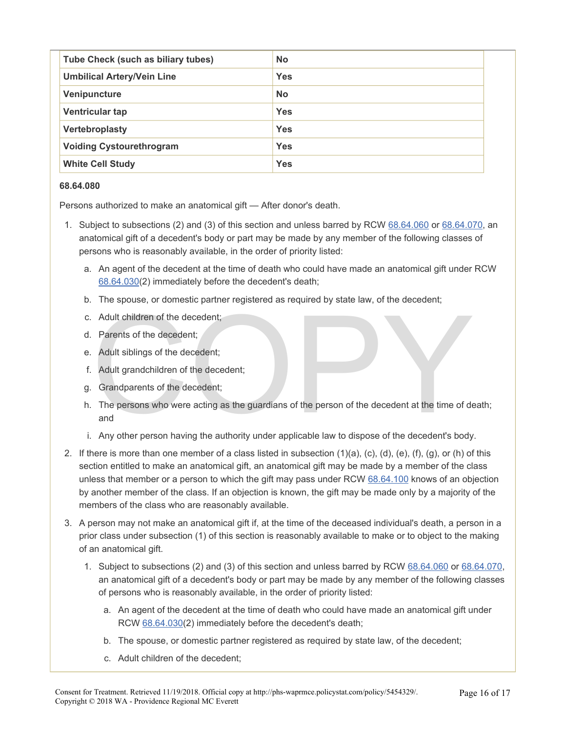| Tube Check (such as biliary tubes) | <b>No</b>  |
|------------------------------------|------------|
| <b>Umbilical Artery/Vein Line</b>  | <b>Yes</b> |
| Venipuncture                       | <b>No</b>  |
| Ventricular tap                    | <b>Yes</b> |
| Vertebroplasty                     | <b>Yes</b> |
| <b>Voiding Cystourethrogram</b>    | <b>Yes</b> |
| <b>White Cell Study</b>            | <b>Yes</b> |

#### **68.64.080**

Persons authorized to make an anatomical gift — After donor's death.

- 1. Subject to subsections (2) and (3) of this section and unless barred by RCW [68.64.060](http://apps.leg.wa.gov/rcw/default.aspx?cite=68.64&full=true) or [68.64.070](http://apps.leg.wa.gov/rcw/default.aspx?cite=68.64&full=true), an anatomical gift of a decedent's body or part may be made by any member of the following classes of persons who is reasonably available, in the order of priority listed:
	- a. An agent of the decedent at the time of death who could have made an anatomical gift under RCW [68.64.030\(](http://apps.leg.wa.gov/rcw/default.aspx?cite=68.64&full=true)2) immediately before the decedent's death;
	- b. The spouse, or domestic partner registered as required by state law, of the decedent;
	- c. Adult children of the decedent;
	- d. Parents of the decedent;
	- e. Adult siblings of the decedent;
	- f. Adult grandchildren of the decedent;
	- g. Grandparents of the decedent;
	- Adult children of the decedent;<br>
	Parents of the decedent;<br>
	Adult siblings of the decedent;<br>
	Comparents of the decedent;<br>
	Comparents of the decedent;<br>
	The persons who were acting as the guardians of the person of the decede h. The persons who were acting as the guardians of the person of the decedent at the time of death; and
	- i. Any other person having the authority under applicable law to dispose of the decedent's body.
- 2. If there is more than one member of a class listed in subsection (1)(a), (c), (d), (e), (f), (g), or (h) of this section entitled to make an anatomical gift, an anatomical gift may be made by a member of the class unless that member or a person to which the gift may pass under RCW [68.64.100](http://apps.leg.wa.gov/rcw/default.aspx?cite=68.64&full=true) knows of an objection by another member of the class. If an objection is known, the gift may be made only by a majority of the members of the class who are reasonably available.
- 3. A person may not make an anatomical gift if, at the time of the deceased individual's death, a person in a prior class under subsection (1) of this section is reasonably available to make or to object to the making of an anatomical gift.
	- 1. Subject to subsections (2) and (3) of this section and unless barred by RCW [68.64.060](http://apps.leg.wa.gov/RCW/default.aspx?cite=68.64.060) or [68.64.070](http://apps.leg.wa.gov/RCW/default.aspx?cite=68.64.070), an anatomical gift of a decedent's body or part may be made by any member of the following classes of persons who is reasonably available, in the order of priority listed:
		- a. An agent of the decedent at the time of death who could have made an anatomical gift under RCW [68.64.030](http://apps.leg.wa.gov/RCW/default.aspx?cite=68.64.030)(2) immediately before the decedent's death;
		- b. The spouse, or domestic partner registered as required by state law, of the decedent;
		- c. Adult children of the decedent;